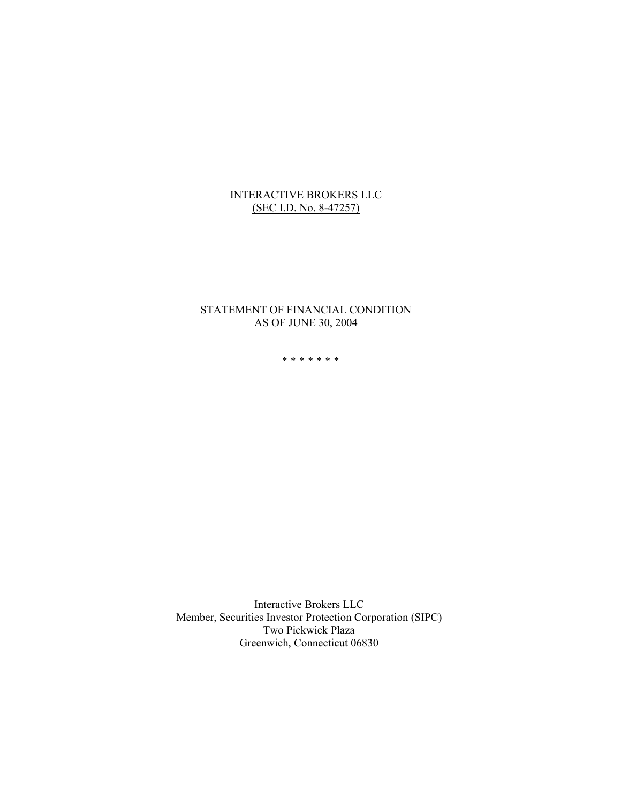## INTERACTIVE BROKERS LLC (SEC I.D. No. 8-47257)

## STATEMENT OF FINANCIAL CONDITION AS OF JUNE 30, 2004

\*\*\*\*\*\*\*

Interactive Brokers LLC Member, Securities Investor Protection Corporation (SIPC) Two Pickwick Plaza Greenwich, Connecticut 06830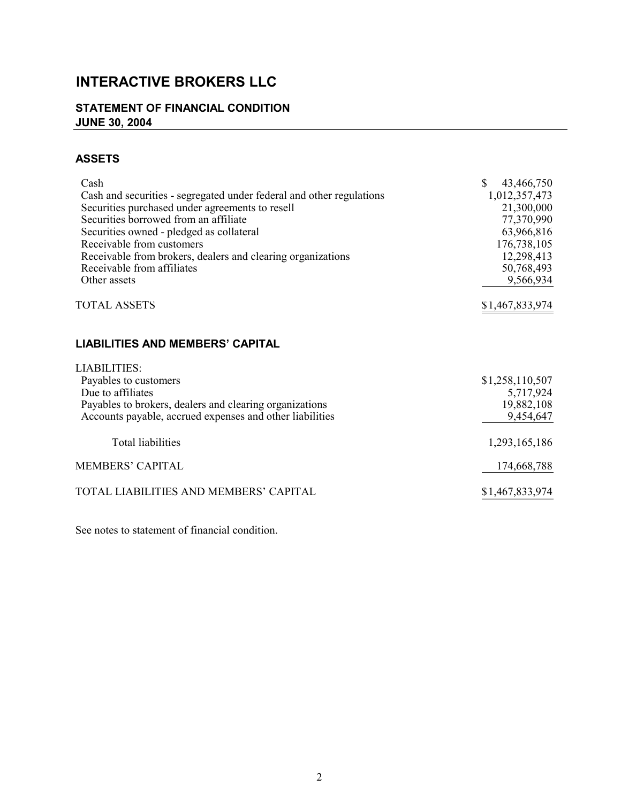# **INTERACTIVE BROKERS LLC**

## **STATEMENT OF FINANCIAL CONDITION JUNE 30, 2004**

## **ASSETS**

| Cash<br>Cash and securities - segregated under federal and other regulations<br>Securities purchased under agreements to resell<br>Securities borrowed from an affiliate<br>Securities owned - pledged as collateral<br>Receivable from customers | $\mathbb{S}$<br>43,466,750<br>1,012,357,473<br>21,300,000<br>77,370,990<br>63,966,816<br>176,738,105 |
|---------------------------------------------------------------------------------------------------------------------------------------------------------------------------------------------------------------------------------------------------|------------------------------------------------------------------------------------------------------|
| Receivable from brokers, dealers and clearing organizations<br>Receivable from affiliates<br>Other assets                                                                                                                                         | 12,298,413<br>50,768,493<br>9,566,934                                                                |
| <b>TOTAL ASSETS</b>                                                                                                                                                                                                                               | \$1,467,833,974                                                                                      |
| <b>LIABILITIES AND MEMBERS' CAPITAL</b>                                                                                                                                                                                                           |                                                                                                      |
| <b>LIABILITIES:</b><br>Payables to customers<br>Due to affiliates<br>Payables to brokers, dealers and clearing organizations<br>Accounts payable, accrued expenses and other liabilities                                                          | \$1,258,110,507<br>5,717,924<br>19,882,108<br>9,454,647                                              |
| <b>Total liabilities</b>                                                                                                                                                                                                                          | 1,293,165,186                                                                                        |
| <b>MEMBERS' CAPITAL</b>                                                                                                                                                                                                                           | 174,668,788                                                                                          |
| TOTAL LIABILITIES AND MEMBERS' CAPITAL                                                                                                                                                                                                            | \$1,467,833,974                                                                                      |

See notes to statement of financial condition.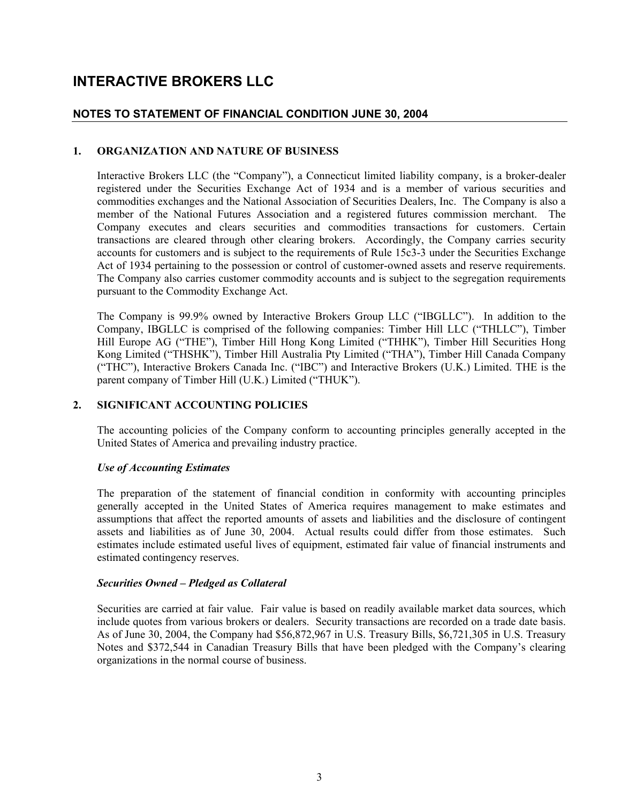## **INTERACTIVE BROKERS LLC**

## **NOTES TO STATEMENT OF FINANCIAL CONDITION JUNE 30, 2004**

## **1. ORGANIZATION AND NATURE OF BUSINESS**

Interactive Brokers LLC (the "Company"), a Connecticut limited liability company, is a broker-dealer registered under the Securities Exchange Act of 1934 and is a member of various securities and commodities exchanges and the National Association of Securities Dealers, Inc. The Company is also a member of the National Futures Association and a registered futures commission merchant. The Company executes and clears securities and commodities transactions for customers. Certain transactions are cleared through other clearing brokers. Accordingly, the Company carries security accounts for customers and is subject to the requirements of Rule 15c3-3 under the Securities Exchange Act of 1934 pertaining to the possession or control of customer-owned assets and reserve requirements. The Company also carries customer commodity accounts and is subject to the segregation requirements pursuant to the Commodity Exchange Act.

The Company is 99.9% owned by Interactive Brokers Group LLC ("IBGLLC"). In addition to the Company, IBGLLC is comprised of the following companies: Timber Hill LLC ("THLLC"), Timber Hill Europe AG ("THE"), Timber Hill Hong Kong Limited ("THHK"), Timber Hill Securities Hong Kong Limited ("THSHK"), Timber Hill Australia Pty Limited ("THA"), Timber Hill Canada Company ("THC"), Interactive Brokers Canada Inc. ("IBC") and Interactive Brokers (U.K.) Limited. THE is the parent company of Timber Hill (U.K.) Limited ("THUK").

## **2. SIGNIFICANT ACCOUNTING POLICIES**

The accounting policies of the Company conform to accounting principles generally accepted in the United States of America and prevailing industry practice.

## *Use of Accounting Estimates*

The preparation of the statement of financial condition in conformity with accounting principles generally accepted in the United States of America requires management to make estimates and assumptions that affect the reported amounts of assets and liabilities and the disclosure of contingent assets and liabilities as of June 30, 2004. Actual results could differ from those estimates. Such estimates include estimated useful lives of equipment, estimated fair value of financial instruments and estimated contingency reserves.

## *Securities Owned – Pledged as Collateral*

Securities are carried at fair value. Fair value is based on readily available market data sources, which include quotes from various brokers or dealers. Security transactions are recorded on a trade date basis. As of June 30, 2004, the Company had \$56,872,967 in U.S. Treasury Bills, \$6,721,305 in U.S. Treasury Notes and \$372,544 in Canadian Treasury Bills that have been pledged with the Company's clearing organizations in the normal course of business.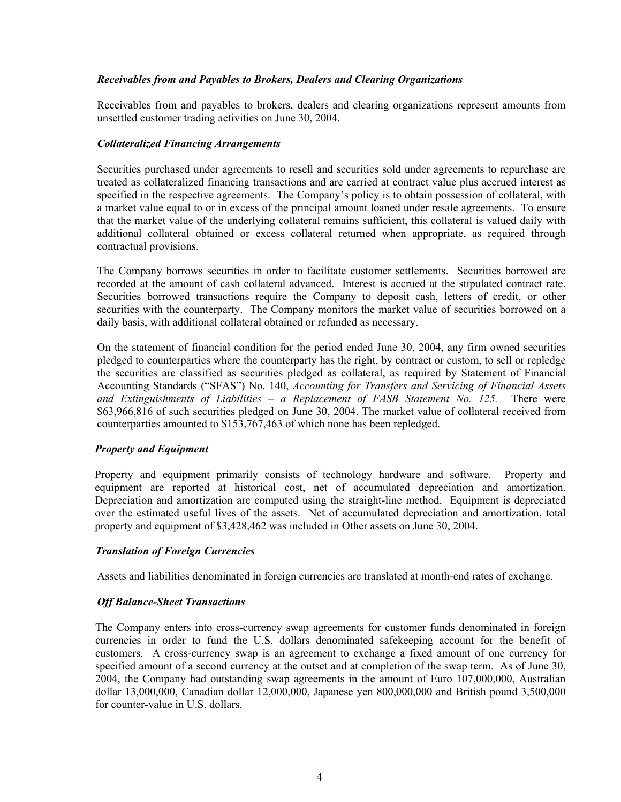## *Receivables from and Payables to Brokers, Dealers and Clearing Organizations*

Receivables from and payables to brokers, dealers and clearing organizations represent amounts from unsettled customer trading activities on June 30, 2004.

## *Collateralized Financing Arrangements*

Securities purchased under agreements to resell and securities sold under agreements to repurchase are treated as collateralized financing transactions and are carried at contract value plus accrued interest as specified in the respective agreements. The Company's policy is to obtain possession of collateral, with a market value equal to or in excess of the principal amount loaned under resale agreements. To ensure that the market value of the underlying collateral remains sufficient, this collateral is valued daily with additional collateral obtained or excess collateral returned when appropriate, as required through contractual provisions.

The Company borrows securities in order to facilitate customer settlements. Securities borrowed are recorded at the amount of cash collateral advanced. Interest is accrued at the stipulated contract rate. Securities borrowed transactions require the Company to deposit cash, letters of credit, or other securities with the counterparty. The Company monitors the market value of securities borrowed on a daily basis, with additional collateral obtained or refunded as necessary.

On the statement of financial condition for the period ended June 30, 2004, any firm owned securities pledged to counterparties where the counterparty has the right, by contract or custom, to sell or repledge the securities are classified as securities pledged as collateral, as required by Statement of Financial Accounting Standards ("SFAS") No. 140, *Accounting for Transfers and Servicing of Financial Assets and Extinguishments of Liabilities – a Replacement of FASB Statement No. 125.* There were \$63,966,816 of such securities pledged on June 30, 2004. The market value of collateral received from counterparties amounted to \$153,767,463 of which none has been repledged.

## *Property and Equipment*

Property and equipment primarily consists of technology hardware and software. Property and equipment are reported at historical cost, net of accumulated depreciation and amortization. Depreciation and amortization are computed using the straight-line method. Equipment is depreciated over the estimated useful lives of the assets. Net of accumulated depreciation and amortization, total property and equipment of \$3,428,462 was included in Other assets on June 30, 2004.

## *Translation of Foreign Currencies*

Assets and liabilities denominated in foreign currencies are translated at month-end rates of exchange.

## *Off Balance-Sheet Transactions*

The Company enters into cross-currency swap agreements for customer funds denominated in foreign currencies in order to fund the U.S. dollars denominated safekeeping account for the benefit of customers. A cross-currency swap is an agreement to exchange a fixed amount of one currency for specified amount of a second currency at the outset and at completion of the swap term. As of June 30, 2004, the Company had outstanding swap agreements in the amount of Euro 107,000,000, Australian dollar 13,000,000, Canadian dollar 12,000,000, Japanese yen 800,000,000 and British pound 3,500,000 for counter-value in U.S. dollars.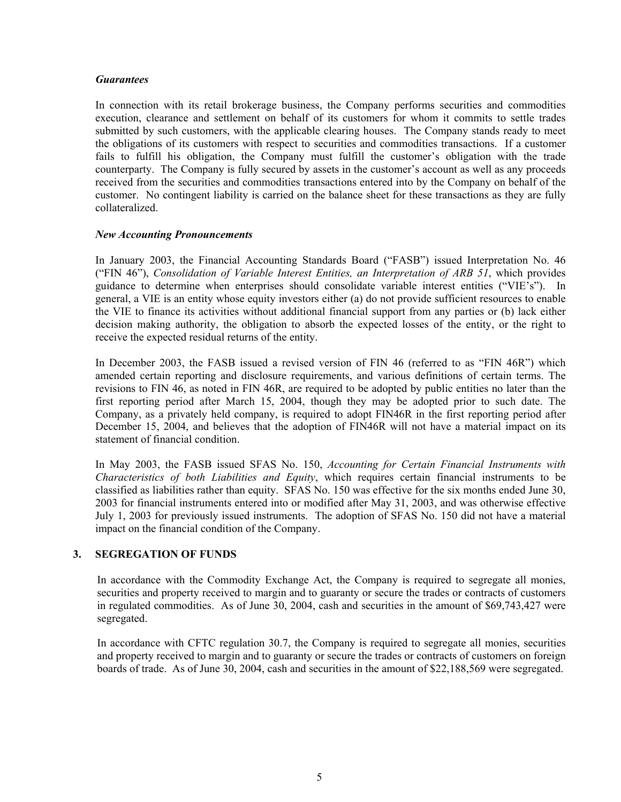#### *Guarantees*

In connection with its retail brokerage business, the Company performs securities and commodities execution, clearance and settlement on behalf of its customers for whom it commits to settle trades submitted by such customers, with the applicable clearing houses. The Company stands ready to meet the obligations of its customers with respect to securities and commodities transactions. If a customer fails to fulfill his obligation, the Company must fulfill the customer's obligation with the trade counterparty. The Company is fully secured by assets in the customer's account as well as any proceeds received from the securities and commodities transactions entered into by the Company on behalf of the customer. No contingent liability is carried on the balance sheet for these transactions as they are fully collateralized.

## *New Accounting Pronouncements*

In January 2003, the Financial Accounting Standards Board ("FASB") issued Interpretation No. 46 ("FIN 46"), *Consolidation of Variable Interest Entities, an Interpretation of ARB 51*, which provides guidance to determine when enterprises should consolidate variable interest entities ("VIE's"). In general, a VIE is an entity whose equity investors either (a) do not provide sufficient resources to enable the VIE to finance its activities without additional financial support from any parties or (b) lack either decision making authority, the obligation to absorb the expected losses of the entity, or the right to receive the expected residual returns of the entity.

In December 2003, the FASB issued a revised version of FIN 46 (referred to as "FIN 46R") which amended certain reporting and disclosure requirements, and various definitions of certain terms. The revisions to FIN 46, as noted in FIN 46R, are required to be adopted by public entities no later than the first reporting period after March 15, 2004, though they may be adopted prior to such date. The Company, as a privately held company, is required to adopt FIN46R in the first reporting period after December 15, 2004, and believes that the adoption of FIN46R will not have a material impact on its statement of financial condition.

In May 2003, the FASB issued SFAS No. 150, *Accounting for Certain Financial Instruments with Characteristics of both Liabilities and Equity*, which requires certain financial instruments to be classified as liabilities rather than equity. SFAS No. 150 was effective for the six months ended June 30, 2003 for financial instruments entered into or modified after May 31, 2003, and was otherwise effective July 1, 2003 for previously issued instruments. The adoption of SFAS No. 150 did not have a material impact on the financial condition of the Company.

## **3. SEGREGATION OF FUNDS**

In accordance with the Commodity Exchange Act, the Company is required to segregate all monies, securities and property received to margin and to guaranty or secure the trades or contracts of customers in regulated commodities. As of June 30, 2004, cash and securities in the amount of \$69,743,427 were segregated.

In accordance with CFTC regulation 30.7, the Company is required to segregate all monies, securities and property received to margin and to guaranty or secure the trades or contracts of customers on foreign boards of trade. As of June 30, 2004, cash and securities in the amount of \$22,188,569 were segregated.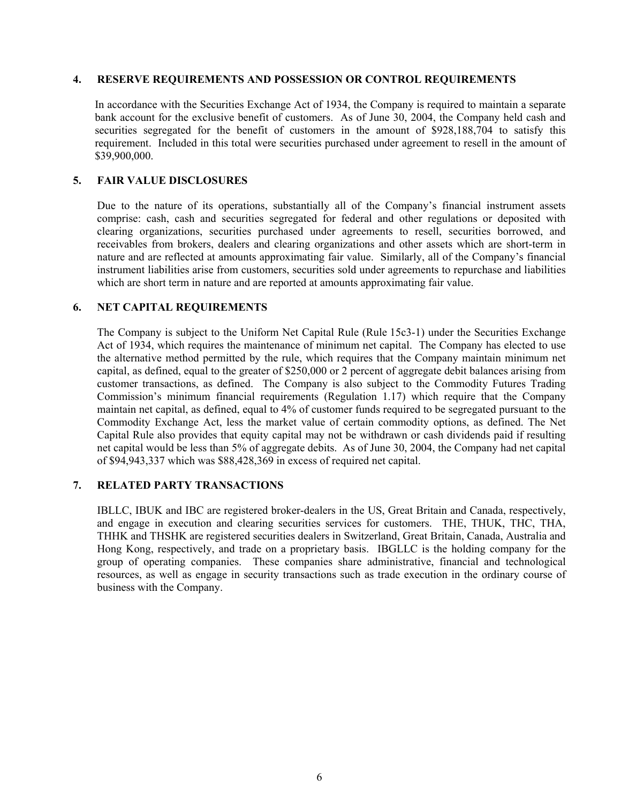#### **4. RESERVE REQUIREMENTS AND POSSESSION OR CONTROL REQUIREMENTS**

In accordance with the Securities Exchange Act of 1934, the Company is required to maintain a separate bank account for the exclusive benefit of customers. As of June 30, 2004, the Company held cash and securities segregated for the benefit of customers in the amount of  $\frac{928,188,704}{10}$  to satisfy this requirement. Included in this total were securities purchased under agreement to resell in the amount of \$39,900,000.

## **5. FAIR VALUE DISCLOSURES**

Due to the nature of its operations, substantially all of the Company's financial instrument assets comprise: cash, cash and securities segregated for federal and other regulations or deposited with clearing organizations, securities purchased under agreements to resell, securities borrowed, and receivables from brokers, dealers and clearing organizations and other assets which are short-term in nature and are reflected at amounts approximating fair value. Similarly, all of the Company's financial instrument liabilities arise from customers, securities sold under agreements to repurchase and liabilities which are short term in nature and are reported at amounts approximating fair value.

## **6. NET CAPITAL REQUIREMENTS**

The Company is subject to the Uniform Net Capital Rule (Rule 15c3-1) under the Securities Exchange Act of 1934, which requires the maintenance of minimum net capital. The Company has elected to use the alternative method permitted by the rule, which requires that the Company maintain minimum net capital, as defined, equal to the greater of \$250,000 or 2 percent of aggregate debit balances arising from customer transactions, as defined. The Company is also subject to the Commodity Futures Trading Commission's minimum financial requirements (Regulation 1.17) which require that the Company maintain net capital, as defined, equal to 4% of customer funds required to be segregated pursuant to the Commodity Exchange Act, less the market value of certain commodity options, as defined. The Net Capital Rule also provides that equity capital may not be withdrawn or cash dividends paid if resulting net capital would be less than 5% of aggregate debits. As of June 30, 2004, the Company had net capital of \$94,943,337 which was \$88,428,369 in excess of required net capital.

## **7. RELATED PARTY TRANSACTIONS**

IBLLC, IBUK and IBC are registered broker-dealers in the US, Great Britain and Canada, respectively, and engage in execution and clearing securities services for customers. THE, THUK, THC, THA, THHK and THSHK are registered securities dealers in Switzerland, Great Britain, Canada, Australia and Hong Kong, respectively, and trade on a proprietary basis. IBGLLC is the holding company for the group of operating companies. These companies share administrative, financial and technological resources, as well as engage in security transactions such as trade execution in the ordinary course of business with the Company.